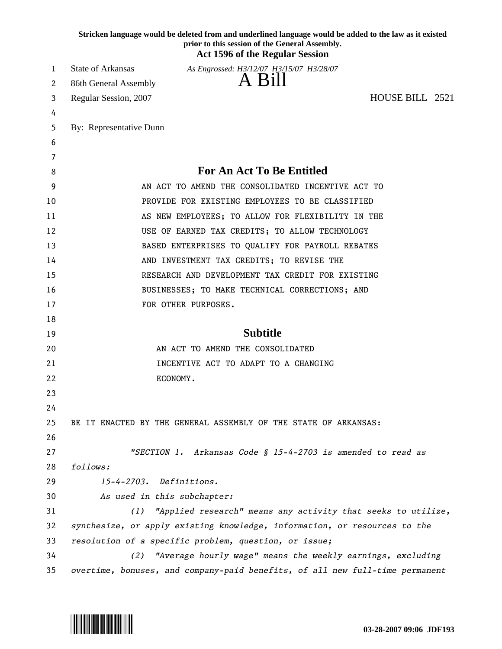| <b>Act 1596 of the Regular Session</b><br><b>State of Arkansas</b><br>As Engrossed: H3/12/07 H3/15/07 H3/28/07<br>1<br>A Bill<br>86th General Assembly<br>2<br>HOUSE BILL 2521<br>Regular Session, 2007<br>3<br>4<br>By: Representative Dunn<br>5<br>6<br>7<br><b>For An Act To Be Entitled</b><br>8<br>9<br>AN ACT TO AMEND THE CONSOLIDATED INCENTIVE ACT TO<br>PROVIDE FOR EXISTING EMPLOYEES TO BE CLASSIFIED<br>10<br>AS NEW EMPLOYEES; TO ALLOW FOR FLEXIBILITY IN THE<br>11<br>USE OF EARNED TAX CREDITS; TO ALLOW TECHNOLOGY<br>12<br>BASED ENTERPRISES TO QUALIFY FOR PAYROLL REBATES<br>13<br>AND INVESTMENT TAX CREDITS; TO REVISE THE<br>14<br>RESEARCH AND DEVELOPMENT TAX CREDIT FOR EXISTING<br>15<br>16<br>BUSINESSES; TO MAKE TECHNICAL CORRECTIONS; AND<br>FOR OTHER PURPOSES.<br>17<br>18<br><b>Subtitle</b><br>19<br>AN ACT TO AMEND THE CONSOLIDATED<br>20<br>INCENTIVE ACT TO ADAPT TO A CHANGING<br>21 |  |
|-------------------------------------------------------------------------------------------------------------------------------------------------------------------------------------------------------------------------------------------------------------------------------------------------------------------------------------------------------------------------------------------------------------------------------------------------------------------------------------------------------------------------------------------------------------------------------------------------------------------------------------------------------------------------------------------------------------------------------------------------------------------------------------------------------------------------------------------------------------------------------------------------------------------------------|--|
|                                                                                                                                                                                                                                                                                                                                                                                                                                                                                                                                                                                                                                                                                                                                                                                                                                                                                                                               |  |
|                                                                                                                                                                                                                                                                                                                                                                                                                                                                                                                                                                                                                                                                                                                                                                                                                                                                                                                               |  |
|                                                                                                                                                                                                                                                                                                                                                                                                                                                                                                                                                                                                                                                                                                                                                                                                                                                                                                                               |  |
|                                                                                                                                                                                                                                                                                                                                                                                                                                                                                                                                                                                                                                                                                                                                                                                                                                                                                                                               |  |
|                                                                                                                                                                                                                                                                                                                                                                                                                                                                                                                                                                                                                                                                                                                                                                                                                                                                                                                               |  |
|                                                                                                                                                                                                                                                                                                                                                                                                                                                                                                                                                                                                                                                                                                                                                                                                                                                                                                                               |  |
|                                                                                                                                                                                                                                                                                                                                                                                                                                                                                                                                                                                                                                                                                                                                                                                                                                                                                                                               |  |
|                                                                                                                                                                                                                                                                                                                                                                                                                                                                                                                                                                                                                                                                                                                                                                                                                                                                                                                               |  |
|                                                                                                                                                                                                                                                                                                                                                                                                                                                                                                                                                                                                                                                                                                                                                                                                                                                                                                                               |  |
|                                                                                                                                                                                                                                                                                                                                                                                                                                                                                                                                                                                                                                                                                                                                                                                                                                                                                                                               |  |
|                                                                                                                                                                                                                                                                                                                                                                                                                                                                                                                                                                                                                                                                                                                                                                                                                                                                                                                               |  |
|                                                                                                                                                                                                                                                                                                                                                                                                                                                                                                                                                                                                                                                                                                                                                                                                                                                                                                                               |  |
|                                                                                                                                                                                                                                                                                                                                                                                                                                                                                                                                                                                                                                                                                                                                                                                                                                                                                                                               |  |
|                                                                                                                                                                                                                                                                                                                                                                                                                                                                                                                                                                                                                                                                                                                                                                                                                                                                                                                               |  |
|                                                                                                                                                                                                                                                                                                                                                                                                                                                                                                                                                                                                                                                                                                                                                                                                                                                                                                                               |  |
|                                                                                                                                                                                                                                                                                                                                                                                                                                                                                                                                                                                                                                                                                                                                                                                                                                                                                                                               |  |
|                                                                                                                                                                                                                                                                                                                                                                                                                                                                                                                                                                                                                                                                                                                                                                                                                                                                                                                               |  |
|                                                                                                                                                                                                                                                                                                                                                                                                                                                                                                                                                                                                                                                                                                                                                                                                                                                                                                                               |  |
|                                                                                                                                                                                                                                                                                                                                                                                                                                                                                                                                                                                                                                                                                                                                                                                                                                                                                                                               |  |
|                                                                                                                                                                                                                                                                                                                                                                                                                                                                                                                                                                                                                                                                                                                                                                                                                                                                                                                               |  |
|                                                                                                                                                                                                                                                                                                                                                                                                                                                                                                                                                                                                                                                                                                                                                                                                                                                                                                                               |  |
| ECONOMY.<br>22                                                                                                                                                                                                                                                                                                                                                                                                                                                                                                                                                                                                                                                                                                                                                                                                                                                                                                                |  |
| 23                                                                                                                                                                                                                                                                                                                                                                                                                                                                                                                                                                                                                                                                                                                                                                                                                                                                                                                            |  |
| 24                                                                                                                                                                                                                                                                                                                                                                                                                                                                                                                                                                                                                                                                                                                                                                                                                                                                                                                            |  |
| 25<br>BE IT ENACTED BY THE GENERAL ASSEMBLY OF THE STATE OF ARKANSAS:                                                                                                                                                                                                                                                                                                                                                                                                                                                                                                                                                                                                                                                                                                                                                                                                                                                         |  |
| 26                                                                                                                                                                                                                                                                                                                                                                                                                                                                                                                                                                                                                                                                                                                                                                                                                                                                                                                            |  |
| "SECTION 1. Arkansas Code § 15-4-2703 is amended to read as<br>27                                                                                                                                                                                                                                                                                                                                                                                                                                                                                                                                                                                                                                                                                                                                                                                                                                                             |  |
| 28<br>follows:                                                                                                                                                                                                                                                                                                                                                                                                                                                                                                                                                                                                                                                                                                                                                                                                                                                                                                                |  |
| 29<br>15-4-2703. Definitions.                                                                                                                                                                                                                                                                                                                                                                                                                                                                                                                                                                                                                                                                                                                                                                                                                                                                                                 |  |
| 30<br>As used in this subchapter:                                                                                                                                                                                                                                                                                                                                                                                                                                                                                                                                                                                                                                                                                                                                                                                                                                                                                             |  |
| "Applied research" means any activity that seeks to utilize,<br>31<br>(1)                                                                                                                                                                                                                                                                                                                                                                                                                                                                                                                                                                                                                                                                                                                                                                                                                                                     |  |
| synthesize, or apply existing knowledge, information, or resources to the<br>32                                                                                                                                                                                                                                                                                                                                                                                                                                                                                                                                                                                                                                                                                                                                                                                                                                               |  |
| 33<br>resolution of a specific problem, question, or issue;<br>34<br>(2)                                                                                                                                                                                                                                                                                                                                                                                                                                                                                                                                                                                                                                                                                                                                                                                                                                                      |  |
| "Average hourly wage" means the weekly earnings, excluding<br>overtime, bonuses, and company-paid benefits, of all new full-time permanent<br>35                                                                                                                                                                                                                                                                                                                                                                                                                                                                                                                                                                                                                                                                                                                                                                              |  |

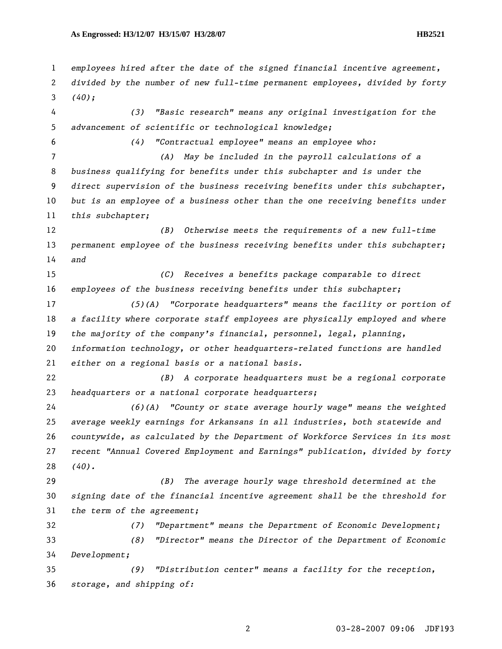*employees hired after the date of the signed financial incentive agreement, divided by the number of new full-time permanent employees, divided by forty (40); (3) "Basic research" means any original investigation for the advancement of scientific or technological knowledge; (4) "Contractual employee" means an employee who: (A) May be included in the payroll calculations of a business qualifying for benefits under this subchapter and is under the direct supervision of the business receiving benefits under this subchapter, but is an employee of a business other than the one receiving benefits under this subchapter; (B) Otherwise meets the requirements of a new full-time permanent employee of the business receiving benefits under this subchapter; and (C) Receives a benefits package comparable to direct employees of the business receiving benefits under this subchapter; (5)(A) "Corporate headquarters" means the facility or portion of a facility where corporate staff employees are physically employed and where the majority of the company's financial, personnel, legal, planning, information technology, or other headquarters-related functions are handled either on a regional basis or a national basis. (B) A corporate headquarters must be a regional corporate headquarters or a national corporate headquarters; (6)(A) "County or state average hourly wage" means the weighted average weekly earnings for Arkansans in all industries, both statewide and countywide, as calculated by the Department of Workforce Services in its most recent "Annual Covered Employment and Earnings" publication, divided by forty (40). (B) The average hourly wage threshold determined at the signing date of the financial incentive agreement shall be the threshold for the term of the agreement; (7) "Department" means the Department of Economic Development; (8) "Director" means the Director of the Department of Economic Development; (9) "Distribution center" means a facility for the reception, storage, and shipping of:*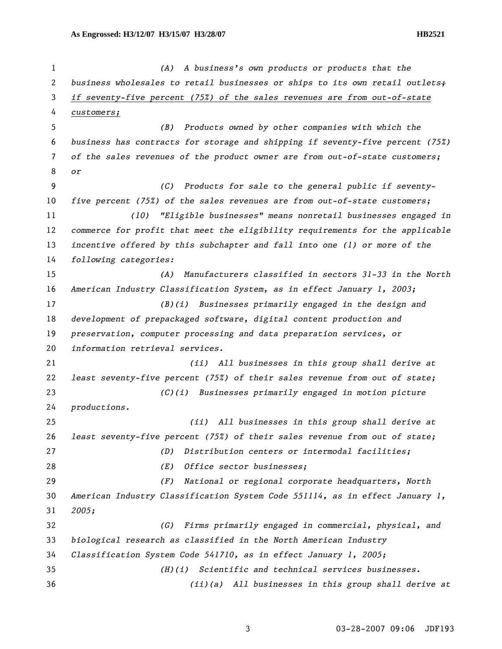*(A) A business's own products or products that the business wholesales to retail businesses or ships to its own retail outlets; if seventy-five percent (75%) of the sales revenues are from out-of-state customers; (B) Products owned by other companies with which the business has contracts for storage and shipping if seventy-five percent (75%) of the sales revenues of the product owner are from out-of-state customers; or (C) Products for sale to the general public if seventy-five percent (75%) of the sales revenues are from out-of-state customers; (10) "Eligible businesses" means nonretail businesses engaged in commerce for profit that meet the eligibility requirements for the applicable incentive offered by this subchapter and fall into one (1) or more of the following categories: (A) Manufacturers classified in sectors 31-33 in the North American Industry Classification System, as in effect January 1, 2003; (B)(i) Businesses primarily engaged in the design and development of prepackaged software, digital content production and preservation, computer processing and data preparation services, or information retrieval services. (ii) All businesses in this group shall derive at least seventy-five percent (75%) of their sales revenue from out of state; (C)(i) Businesses primarily engaged in motion picture productions. (ii) All businesses in this group shall derive at least seventy-five percent (75%) of their sales revenue from out of state; (D) Distribution centers or intermodal facilities; (E) Office sector businesses; (F) National or regional corporate headquarters, North American Industry Classification System Code 551114, as in effect January 1, 2005; (G) Firms primarily engaged in commercial, physical, and biological research as classified in the North American Industry Classification System Code 541710, as in effect January 1, 2005; (H)(i) Scientific and technical services businesses. (ii)(a) All businesses in this group shall derive at*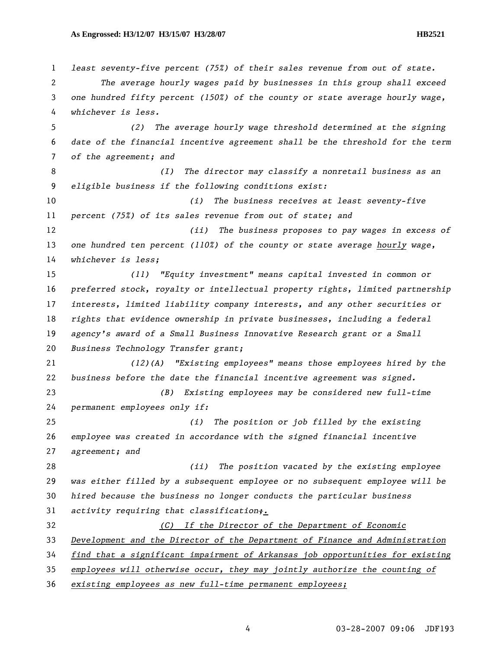*least seventy-five percent (75%) of their sales revenue from out of state. The average hourly wages paid by businesses in this group shall exceed one hundred fifty percent (150%) of the county or state average hourly wage, whichever is less. (2) The average hourly wage threshold determined at the signing date of the financial incentive agreement shall be the threshold for the term of the agreement; and (I) The director may classify a nonretail business as an eligible business if the following conditions exist: (i) The business receives at least seventy-five percent (75%) of its sales revenue from out of state; and (ii) The business proposes to pay wages in excess of one hundred ten percent (110%) of the county or state average hourly wage, whichever is less; (11) "Equity investment" means capital invested in common or preferred stock, royalty or intellectual property rights, limited partnership interests, limited liability company interests, and any other securities or rights that evidence ownership in private businesses, including a federal agency's award of a Small Business Innovative Research grant or a Small Business Technology Transfer grant; (12)(A) "Existing employees" means those employees hired by the business before the date the financial incentive agreement was signed. (B) Existing employees may be considered new full-time permanent employees only if: (i) The position or job filled by the existing employee was created in accordance with the signed financial incentive agreement; and (ii) The position vacated by the existing employee was either filled by a subsequent employee or no subsequent employee will be hired because the business no longer conducts the particular business activity requiring that classification;. (C) If the Director of the Department of Economic Development and the Director of the Department of Finance and Administration find that a significant impairment of Arkansas job opportunities for existing employees will otherwise occur, they may jointly authorize the counting of existing employees as new full-time permanent employees;*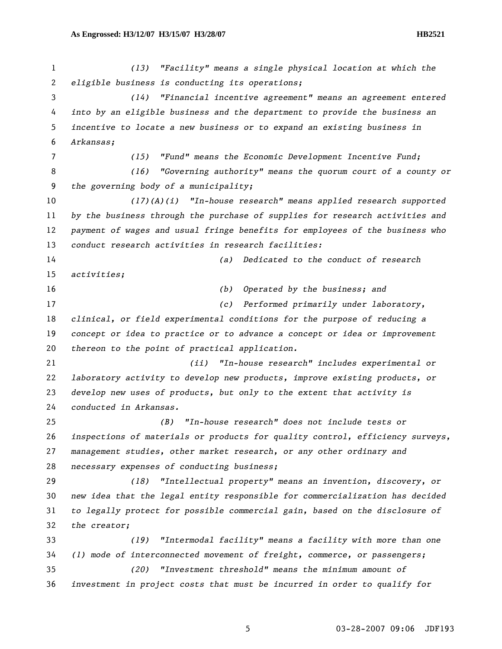*(13) "Facility" means a single physical location at which the eligible business is conducting its operations; (14) "Financial incentive agreement" means an agreement entered into by an eligible business and the department to provide the business an incentive to locate a new business or to expand an existing business in Arkansas; (15) "Fund" means the Economic Development Incentive Fund; (16) "Governing authority" means the quorum court of a county or the governing body of a municipality; (17)(A)(i) "In-house research" means applied research supported by the business through the purchase of supplies for research activities and payment of wages and usual fringe benefits for employees of the business who conduct research activities in research facilities: (a) Dedicated to the conduct of research activities; (b) Operated by the business; and (c) Performed primarily under laboratory, clinical, or field experimental conditions for the purpose of reducing a concept or idea to practice or to advance a concept or idea or improvement thereon to the point of practical application. (ii) "In-house research" includes experimental or laboratory activity to develop new products, improve existing products, or develop new uses of products, but only to the extent that activity is conducted in Arkansas. (B) "In-house research" does not include tests or inspections of materials or products for quality control, efficiency surveys, management studies, other market research, or any other ordinary and necessary expenses of conducting business; (18) "Intellectual property" means an invention, discovery, or new idea that the legal entity responsible for commercialization has decided to legally protect for possible commercial gain, based on the disclosure of the creator; (19) "Intermodal facility" means a facility with more than one (1) mode of interconnected movement of freight, commerce, or passengers; (20) "Investment threshold" means the minimum amount of investment in project costs that must be incurred in order to qualify for*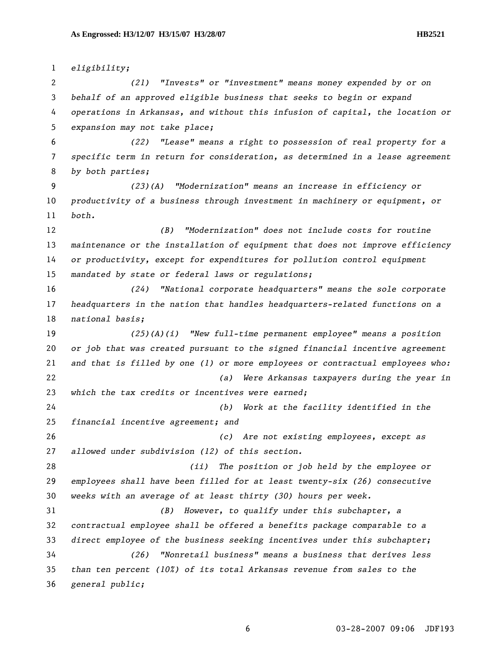*eligibility; (21) "Invests" or "investment" means money expended by or on behalf of an approved eligible business that seeks to begin or expand operations in Arkansas, and without this infusion of capital, the location or expansion may not take place; (22) "Lease" means a right to possession of real property for a specific term in return for consideration, as determined in a lease agreement by both parties; (23)(A) "Modernization" means an increase in efficiency or productivity of a business through investment in machinery or equipment, or both. (B) "Modernization" does not include costs for routine maintenance or the installation of equipment that does not improve efficiency or productivity, except for expenditures for pollution control equipment mandated by state or federal laws or regulations; (24) "National corporate headquarters" means the sole corporate headquarters in the nation that handles headquarters-related functions on a national basis; (25)(A)(i) "New full-time permanent employee" means a position or job that was created pursuant to the signed financial incentive agreement and that is filled by one (1) or more employees or contractual employees who: (a) Were Arkansas taxpayers during the year in which the tax credits or incentives were earned; (b) Work at the facility identified in the financial incentive agreement; and (c) Are not existing employees, except as allowed under subdivision (12) of this section. (ii) The position or job held by the employee or employees shall have been filled for at least twenty-six (26) consecutive weeks with an average of at least thirty (30) hours per week. (B) However, to qualify under this subchapter, a contractual employee shall be offered a benefits package comparable to a direct employee of the business seeking incentives under this subchapter; (26) "Nonretail business" means a business that derives less than ten percent (10%) of its total Arkansas revenue from sales to the* 

*general public;*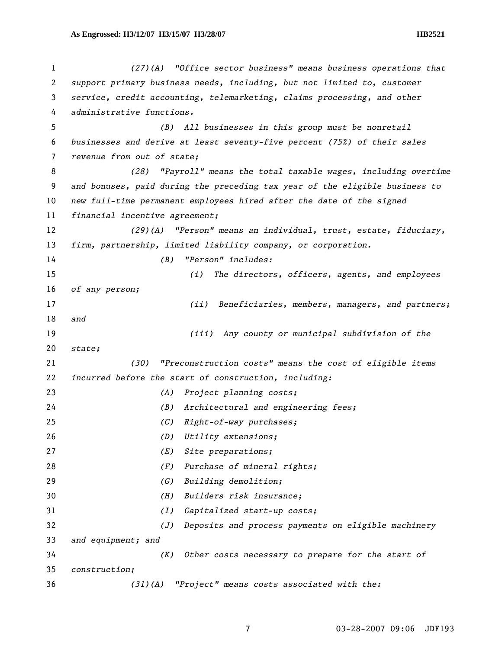*(27)(A) "Office sector business" means business operations that support primary business needs, including, but not limited to, customer service, credit accounting, telemarketing, claims processing, and other administrative functions. (B) All businesses in this group must be nonretail businesses and derive at least seventy-five percent (75%) of their sales revenue from out of state; (28) "Payroll" means the total taxable wages, including overtime and bonuses, paid during the preceding tax year of the eligible business to new full-time permanent employees hired after the date of the signed financial incentive agreement; (29)(A) "Person" means an individual, trust, estate, fiduciary, firm, partnership, limited liability company, or corporation. (B) "Person" includes: (i) The directors, officers, agents, and employees of any person; (ii) Beneficiaries, members, managers, and partners; and (iii) Any county or municipal subdivision of the state; (30) "Preconstruction costs" means the cost of eligible items incurred before the start of construction, including: (A) Project planning costs; (B) Architectural and engineering fees; (C) Right-of-way purchases; (D) Utility extensions; (E) Site preparations; (F) Purchase of mineral rights; (G) Building demolition; (H) Builders risk insurance; (I) Capitalized start-up costs; (J) Deposits and process payments on eligible machinery and equipment; and (K) Other costs necessary to prepare for the start of construction; (31)(A) "Project" means costs associated with the:*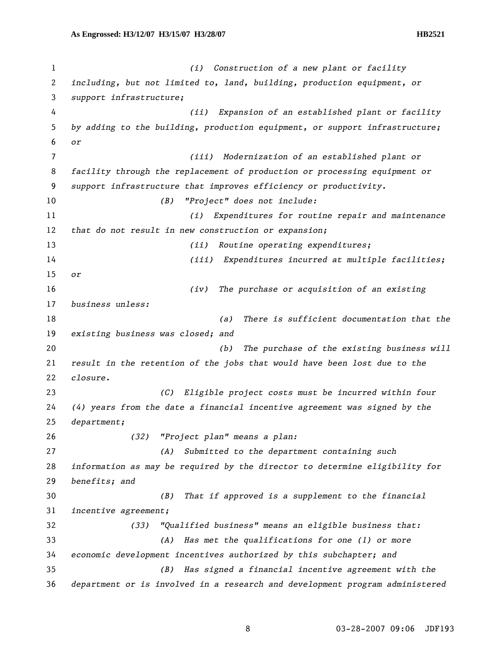*(i) Construction of a new plant or facility including, but not limited to, land, building, production equipment, or support infrastructure; (ii) Expansion of an established plant or facility by adding to the building, production equipment, or support infrastructure; or (iii) Modernization of an established plant or facility through the replacement of production or processing equipment or support infrastructure that improves efficiency or productivity. (B) "Project" does not include: (i) Expenditures for routine repair and maintenance that do not result in new construction or expansion; (ii) Routine operating expenditures; (iii) Expenditures incurred at multiple facilities; or (iv) The purchase or acquisition of an existing business unless: (a) There is sufficient documentation that the existing business was closed; and (b) The purchase of the existing business will result in the retention of the jobs that would have been lost due to the closure. (C) Eligible project costs must be incurred within four (4) years from the date a financial incentive agreement was signed by the department; (32) "Project plan" means a plan: (A) Submitted to the department containing such information as may be required by the director to determine eligibility for benefits; and (B) That if approved is a supplement to the financial incentive agreement; (33) "Qualified business" means an eligible business that: (A) Has met the qualifications for one (1) or more economic development incentives authorized by this subchapter; and (B) Has signed a financial incentive agreement with the department or is involved in a research and development program administered*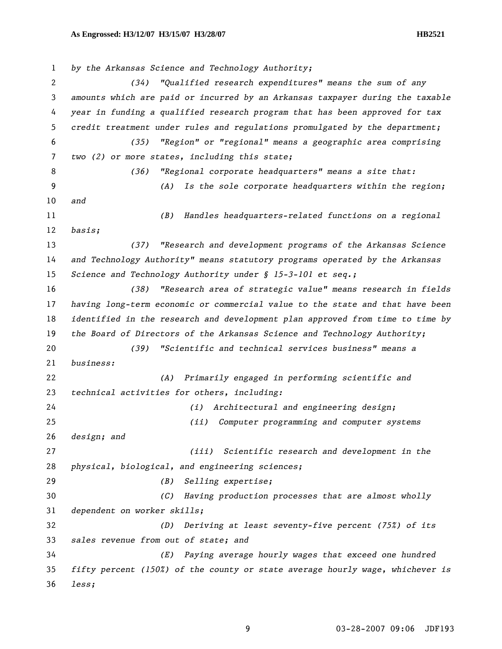*by the Arkansas Science and Technology Authority; (34) "Qualified research expenditures" means the sum of any amounts which are paid or incurred by an Arkansas taxpayer during the taxable year in funding a qualified research program that has been approved for tax credit treatment under rules and regulations promulgated by the department; (35) "Region" or "regional" means a geographic area comprising two (2) or more states, including this state; (36) "Regional corporate headquarters" means a site that: (A) Is the sole corporate headquarters within the region; and (B) Handles headquarters-related functions on a regional basis; (37) "Research and development programs of the Arkansas Science and Technology Authority" means statutory programs operated by the Arkansas Science and Technology Authority under § 15-3-101 et seq.; (38) "Research area of strategic value" means research in fields having long-term economic or commercial value to the state and that have been identified in the research and development plan approved from time to time by the Board of Directors of the Arkansas Science and Technology Authority; (39) "Scientific and technical services business" means a business: (A) Primarily engaged in performing scientific and technical activities for others, including: (i) Architectural and engineering design; (ii) Computer programming and computer systems design; and (iii) Scientific research and development in the physical, biological, and engineering sciences; (B) Selling expertise; (C) Having production processes that are almost wholly dependent on worker skills; (D) Deriving at least seventy-five percent (75%) of its sales revenue from out of state; and (E) Paying average hourly wages that exceed one hundred fifty percent (150%) of the county or state average hourly wage, whichever is less;*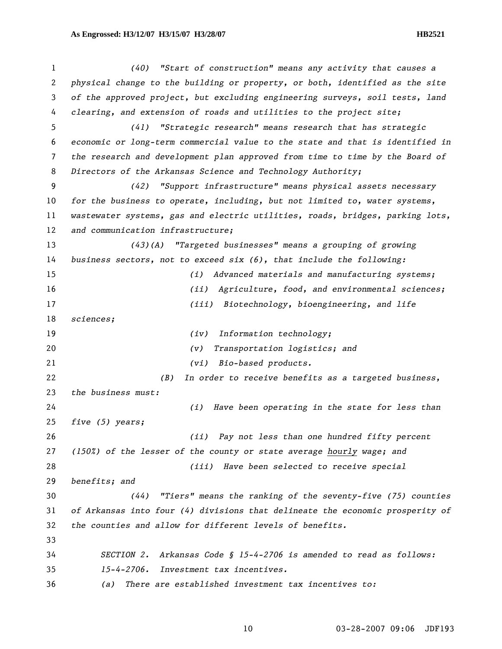*(40) "Start of construction" means any activity that causes a physical change to the building or property, or both, identified as the site of the approved project, but excluding engineering surveys, soil tests, land clearing, and extension of roads and utilities to the project site; (41) "Strategic research" means research that has strategic economic or long-term commercial value to the state and that is identified in the research and development plan approved from time to time by the Board of Directors of the Arkansas Science and Technology Authority; (42) "Support infrastructure" means physical assets necessary for the business to operate, including, but not limited to, water systems, wastewater systems, gas and electric utilities, roads, bridges, parking lots, and communication infrastructure; (43)(A) "Targeted businesses" means a grouping of growing business sectors, not to exceed six (6), that include the following: (i) Advanced materials and manufacturing systems; (ii) Agriculture, food, and environmental sciences; (iii) Biotechnology, bioengineering, and life sciences; (iv) Information technology; (v) Transportation logistics; and (vi) Bio-based products. (B) In order to receive benefits as a targeted business, the business must: (i) Have been operating in the state for less than five (5) years; (ii) Pay not less than one hundred fifty percent (150%) of the lesser of the county or state average hourly wage; and (iii) Have been selected to receive special benefits; and (44) "Tiers" means the ranking of the seventy-five (75) counties of Arkansas into four (4) divisions that delineate the economic prosperity of the counties and allow for different levels of benefits. SECTION 2. Arkansas Code § 15-4-2706 is amended to read as follows: 15-4-2706. Investment tax incentives. (a) There are established investment tax incentives to:*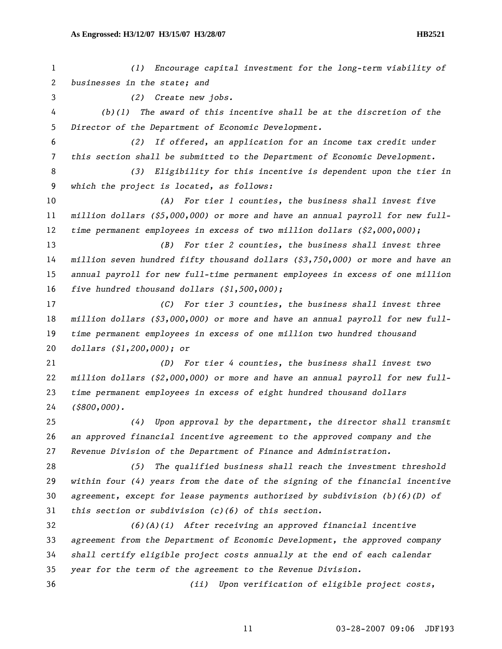*(1) Encourage capital investment for the long-term viability of businesses in the state; and (2) Create new jobs. (b)(1) The award of this incentive shall be at the discretion of the Director of the Department of Economic Development. (2) If offered, an application for an income tax credit under this section shall be submitted to the Department of Economic Development. (3) Eligibility for this incentive is dependent upon the tier in which the project is located, as follows: (A) For tier 1 counties, the business shall invest five million dollars (\$5,000,000) or more and have an annual payroll for new full-time permanent employees in excess of two million dollars (\$2,000,000); (B) For tier 2 counties, the business shall invest three million seven hundred fifty thousand dollars (\$3,750,000) or more and have an annual payroll for new full-time permanent employees in excess of one million five hundred thousand dollars (\$1,500,000); (C) For tier 3 counties, the business shall invest three million dollars (\$3,000,000) or more and have an annual payroll for new full-time permanent employees in excess of one million two hundred thousand dollars (\$1,200,000); or (D) For tier 4 counties, the business shall invest two million dollars (\$2,000,000) or more and have an annual payroll for new full-time permanent employees in excess of eight hundred thousand dollars (\$800,000). (4) Upon approval by the department, the director shall transmit an approved financial incentive agreement to the approved company and the Revenue Division of the Department of Finance and Administration. (5) The qualified business shall reach the investment threshold within four (4) years from the date of the signing of the financial incentive agreement, except for lease payments authorized by subdivision (b)(6)(D) of this section or subdivision (c)(6) of this section. (6)(A)(i) After receiving an approved financial incentive agreement from the Department of Economic Development, the approved company shall certify eligible project costs annually at the end of each calendar year for the term of the agreement to the Revenue Division. (ii) Upon verification of eligible project costs,*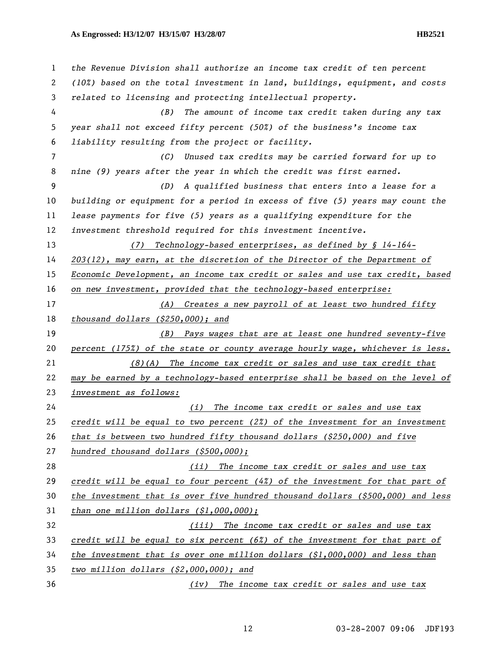*the Revenue Division shall authorize an income tax credit of ten percent (10%) based on the total investment in land, buildings, equipment, and costs related to licensing and protecting intellectual property. (B) The amount of income tax credit taken during any tax year shall not exceed fifty percent (50%) of the business's income tax liability resulting from the project or facility. (C) Unused tax credits may be carried forward for up to nine (9) years after the year in which the credit was first earned. (D) A qualified business that enters into a lease for a building or equipment for a period in excess of five (5) years may count the lease payments for five (5) years as a qualifying expenditure for the investment threshold required for this investment incentive. (7) Technology-based enterprises, as defined by § 14-164- 203(12), may earn, at the discretion of the Director of the Department of Economic Development, an income tax credit or sales and use tax credit, based on new investment, provided that the technology-based enterprise: (A) Creates a new payroll of at least two hundred fifty thousand dollars (\$250,000); and (B) Pays wages that are at least one hundred seventy-five percent (175%) of the state or county average hourly wage, whichever is less. (8)(A) The income tax credit or sales and use tax credit that may be earned by a technology-based enterprise shall be based on the level of investment as follows: (i) The income tax credit or sales and use tax credit will be equal to two percent (2%) of the investment for an investment that is between two hundred fifty thousand dollars (\$250,000) and five hundred thousand dollars (\$500,000); (ii) The income tax credit or sales and use tax credit will be equal to four percent (4%) of the investment for that part of the investment that is over five hundred thousand dollars (\$500,000) and less than one million dollars (\$1,000,000); (iii) The income tax credit or sales and use tax credit will be equal to six percent (6%) of the investment for that part of the investment that is over one million dollars (\$1,000,000) and less than two million dollars (\$2,000,000); and (iv) The income tax credit or sales and use tax*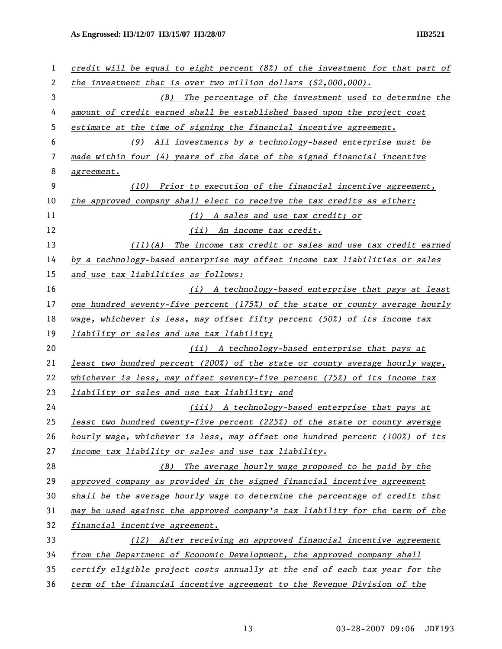| 1  | credit will be equal to eight percent $(8\%)$ of the investment for that part of |
|----|----------------------------------------------------------------------------------|
| 2  | the investment that is over two million dollars $(\$2,000,000)$ .                |
| 3  | The percentage of the investment used to determine the<br>(B)                    |
| 4  | amount of credit earned shall be established based upon the project cost         |
| 5  | estimate at the time of signing the financial incentive agreement.               |
| 6  | (9) All investments by a technology-based enterprise must be                     |
| 7  | made within four (4) years of the date of the signed financial incentive         |
| 8  | agreement.                                                                       |
| 9  | (10) Prior to execution of the financial incentive agreement,                    |
| 10 | the approved company shall elect to receive the tax credits as either:           |
| 11 | (i) A sales and use tax credit; or                                               |
| 12 | (ii) An income tax credit.                                                       |
| 13 | The income tax credit or sales and use tax credit earned<br>(11)(A)              |
| 14 | by a technology-based enterprise may offset income tax liabilities or sales      |
| 15 | and use tax liabilities as follows:                                              |
| 16 | (i) A technology-based enterprise that pays at least                             |
| 17 | one hundred seventy-five percent (175%) of the state or county average hourly    |
| 18 | wage, whichever is less, may offset fifty percent (50%) of its income tax        |
| 19 | liability or sales and use tax liability;                                        |
| 20 | (ii) A technology-based enterprise that pays at                                  |
| 21 | least two hundred percent (200%) of the state or county average hourly wage,     |
| 22 | whichever is less, may offset seventy-five percent (75%) of its income tax       |
| 23 | liability or sales and use tax liability; and                                    |
| 24 | (iii) A technology-based enterprise that pays at                                 |
| 25 | least two hundred twenty-five percent (225%) of the state or county average      |
| 26 | hourly wage, whichever is less, may offset one hundred percent (100%) of its     |
| 27 | income tax liability or sales and use tax liability.                             |
| 28 | The average hourly wage proposed to be paid by the<br>(B)                        |
| 29 | approved company as provided in the signed financial incentive agreement         |
| 30 | shall be the average hourly wage to determine the percentage of credit that      |
| 31 | may be used against the approved company's tax liability for the term of the     |
| 32 | financial incentive agreement.                                                   |
| 33 | (12) After receiving an approved financial incentive agreement                   |
| 34 | from the Department of Economic Development, the approved company shall          |
| 35 | certify eligible project costs annually at the end of each tax year for the      |
| 36 | term of the financial incentive agreement to the Revenue Division of the         |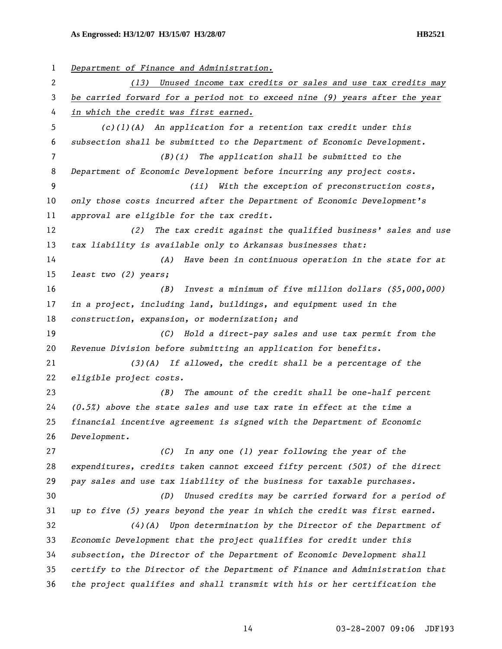*Department of Finance and Administration. (13) Unused income tax credits or sales and use tax credits may be carried forward for a period not to exceed nine (9) years after the year in which the credit was first earned. (c)(1)(A) An application for a retention tax credit under this subsection shall be submitted to the Department of Economic Development. (B)(i) The application shall be submitted to the Department of Economic Development before incurring any project costs. (ii) With the exception of preconstruction costs, only those costs incurred after the Department of Economic Development's approval are eligible for the tax credit. (2) The tax credit against the qualified business' sales and use tax liability is available only to Arkansas businesses that: (A) Have been in continuous operation in the state for at least two (2) years; (B) Invest a minimum of five million dollars (\$5,000,000) in a project, including land, buildings, and equipment used in the construction, expansion, or modernization; and (C) Hold a direct-pay sales and use tax permit from the Revenue Division before submitting an application for benefits. (3)(A) If allowed, the credit shall be a percentage of the eligible project costs. (B) The amount of the credit shall be one-half percent (0.5%) above the state sales and use tax rate in effect at the time a financial incentive agreement is signed with the Department of Economic Development. (C) In any one (1) year following the year of the expenditures, credits taken cannot exceed fifty percent (50%) of the direct pay sales and use tax liability of the business for taxable purchases. (D) Unused credits may be carried forward for a period of up to five (5) years beyond the year in which the credit was first earned. (4)(A) Upon determination by the Director of the Department of Economic Development that the project qualifies for credit under this subsection, the Director of the Department of Economic Development shall certify to the Director of the Department of Finance and Administration that the project qualifies and shall transmit with his or her certification the*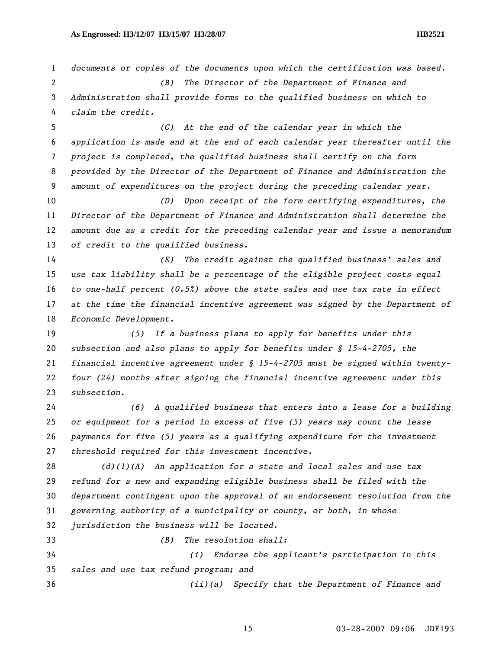*documents or copies of the documents upon which the certification was based. (B) The Director of the Department of Finance and Administration shall provide forms to the qualified business on which to claim the credit. (C) At the end of the calendar year in which the application is made and at the end of each calendar year thereafter until the project is completed, the qualified business shall certify on the form provided by the Director of the Department of Finance and Administration the amount of expenditures on the project during the preceding calendar year. (D) Upon receipt of the form certifying expenditures, the Director of the Department of Finance and Administration shall determine the amount due as a credit for the preceding calendar year and issue a memorandum of credit to the qualified business. (E) The credit against the qualified business' sales and use tax liability shall be a percentage of the eligible project costs equal to one-half percent (0.5%) above the state sales and use tax rate in effect at the time the financial incentive agreement was signed by the Department of Economic Development. (5) If a business plans to apply for benefits under this subsection and also plans to apply for benefits under § 15-4-2705, the financial incentive agreement under § 15-4-2705 must be signed within twenty-four (24) months after signing the financial incentive agreement under this subsection. (6) A qualified business that enters into a lease for a building or equipment for a period in excess of five (5) years may count the lease payments for five (5) years as a qualifying expenditure for the investment threshold required for this investment incentive. (d)(1)(A) An application for a state and local sales and use tax refund for a new and expanding eligible business shall be filed with the department contingent upon the approval of an endorsement resolution from the governing authority of a municipality or county, or both, in whose jurisdiction the business will be located. (B) The resolution shall: (i) Endorse the applicant's participation in this sales and use tax refund program; and (ii)(a) Specify that the Department of Finance and*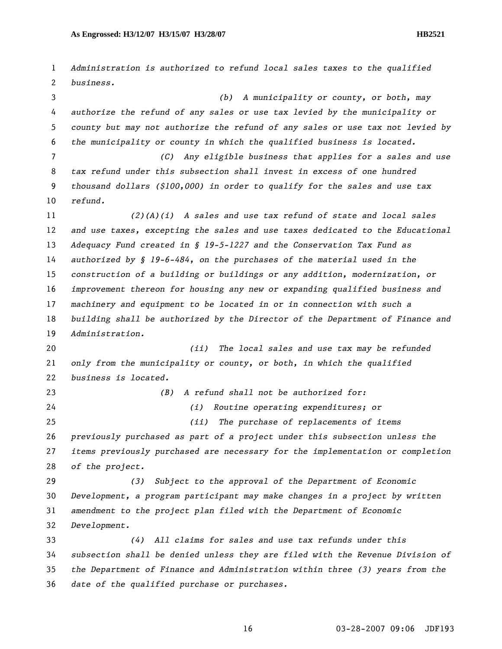*Administration is authorized to refund local sales taxes to the qualified business. (b) A municipality or county, or both, may authorize the refund of any sales or use tax levied by the municipality or county but may not authorize the refund of any sales or use tax not levied by the municipality or county in which the qualified business is located. (C) Any eligible business that applies for a sales and use tax refund under this subsection shall invest in excess of one hundred thousand dollars (\$100,000) in order to qualify for the sales and use tax refund. (2)(A)(i) A sales and use tax refund of state and local sales and use taxes, excepting the sales and use taxes dedicated to the Educational Adequacy Fund created in § 19-5-1227 and the Conservation Tax Fund as authorized by § 19-6-484, on the purchases of the material used in the construction of a building or buildings or any addition, modernization, or improvement thereon for housing any new or expanding qualified business and machinery and equipment to be located in or in connection with such a building shall be authorized by the Director of the Department of Finance and Administration. (ii) The local sales and use tax may be refunded only from the municipality or county, or both, in which the qualified business is located. (B) A refund shall not be authorized for: (i) Routine operating expenditures; or (ii) The purchase of replacements of items previously purchased as part of a project under this subsection unless the items previously purchased are necessary for the implementation or completion of the project. (3) Subject to the approval of the Department of Economic Development, a program participant may make changes in a project by written amendment to the project plan filed with the Department of Economic Development. (4) All claims for sales and use tax refunds under this subsection shall be denied unless they are filed with the Revenue Division of the Department of Finance and Administration within three (3) years from the date of the qualified purchase or purchases.*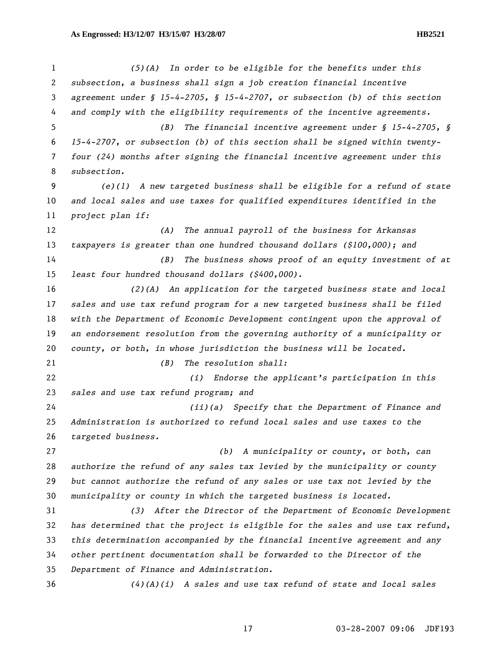*(5)(A) In order to be eligible for the benefits under this subsection, a business shall sign a job creation financial incentive agreement under § 15-4-2705, § 15-4-2707, or subsection (b) of this section and comply with the eligibility requirements of the incentive agreements. (B) The financial incentive agreement under § 15-4-2705, § 15-4-2707, or subsection (b) of this section shall be signed within twenty-four (24) months after signing the financial incentive agreement under this subsection. (e)(1) A new targeted business shall be eligible for a refund of state and local sales and use taxes for qualified expenditures identified in the project plan if: (A) The annual payroll of the business for Arkansas taxpayers is greater than one hundred thousand dollars (\$100,000); and (B) The business shows proof of an equity investment of at least four hundred thousand dollars (\$400,000). (2)(A) An application for the targeted business state and local sales and use tax refund program for a new targeted business shall be filed with the Department of Economic Development contingent upon the approval of an endorsement resolution from the governing authority of a municipality or county, or both, in whose jurisdiction the business will be located. (B) The resolution shall: (i) Endorse the applicant's participation in this sales and use tax refund program; and (ii)(a) Specify that the Department of Finance and Administration is authorized to refund local sales and use taxes to the targeted business. (b) A municipality or county, or both, can authorize the refund of any sales tax levied by the municipality or county but cannot authorize the refund of any sales or use tax not levied by the municipality or county in which the targeted business is located. (3) After the Director of the Department of Economic Development has determined that the project is eligible for the sales and use tax refund, this determination accompanied by the financial incentive agreement and any other pertinent documentation shall be forwarded to the Director of the Department of Finance and Administration. (4)(A)(i) A sales and use tax refund of state and local sales*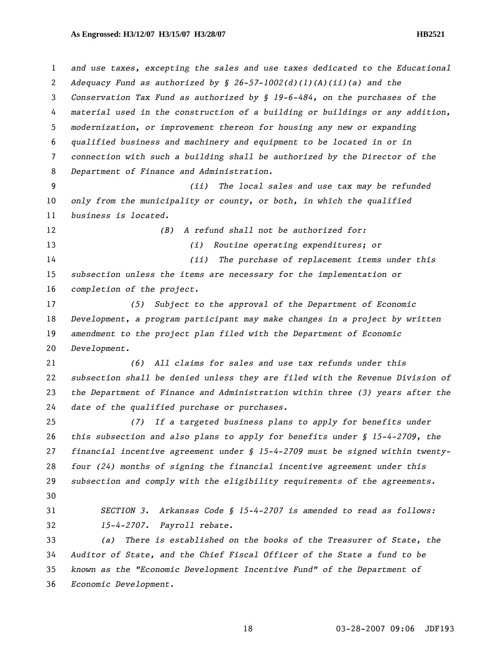| $\mathbf{1}$   | and use taxes, excepting the sales and use taxes dedicated to the Educational    |
|----------------|----------------------------------------------------------------------------------|
| $\mathbf{2}$   | Adequacy Fund as authorized by $\S$ 26-57-1002(d)(1)(A)(ii)(a) and the           |
| 3              | Conservation Tax Fund as authorized by $\oint$ 19-6-484, on the purchases of the |
| 4              | material used in the construction of a building or buildings or any addition,    |
| 5 <sup>5</sup> | modernization, or improvement thereon for housing any new or expanding           |
| 6              | qualified business and machinery and equipment to be located in or in            |
| 7              | connection with such a building shall be authorized by the Director of the       |
| 8              | Department of Finance and Administration.                                        |
| 9              | The local sales and use tax may be refunded<br>(ii)                              |
| 10             | only from the municipality or county, or both, in which the qualified            |
| 11             | business is located.                                                             |
| 12             | A refund shall not be authorized for:<br>(B)                                     |
| 13             | Routine operating expenditures; or<br>(i)                                        |
| 14             | The purchase of replacement items under this<br>(ii)                             |
| 15             | subsection unless the items are necessary for the implementation or              |
| 16             | completion of the project.                                                       |
| 17             | (5) Subject to the approval of the Department of Economic                        |
| 18             | Development, a program participant may make changes in a project by written      |
| 19             | amendment to the project plan filed with the Department of Economic              |
| 20             | Development.                                                                     |
| 21             | (6) All claims for sales and use tax refunds under this                          |
| 22             | subsection shall be denied unless they are filed with the Revenue Division of    |
| 23             | the Department of Finance and Administration within three (3) years after the    |
| 24             | date of the qualified purchase or purchases.                                     |
| 25             | If a targeted business plans to apply for benefits under<br>(7)                  |
| 26             | this subsection and also plans to apply for benefits under $\S$ 15-4-2709, the   |
| 27             | financial incentive agreement under $\S$ 15-4-2709 must be signed within twenty- |
| 28             | four (24) months of signing the financial incentive agreement under this         |
| 29             | subsection and comply with the eligibility requirements of the agreements.       |
| 30             |                                                                                  |
| 31             | Arkansas Code § 15-4-2707 is amended to read as follows:<br>SECTION 3.           |
| 32             | 15-4-2707. Payroll rebate.                                                       |
| 33             | There is established on the books of the Treasurer of State, the<br>(a)          |
| 34             | Auditor of State, and the Chief Fiscal Officer of the State a fund to be         |
| 35             | known as the "Economic Development Incentive Fund" of the Department of          |
| 36             | Economic Development.                                                            |
|                |                                                                                  |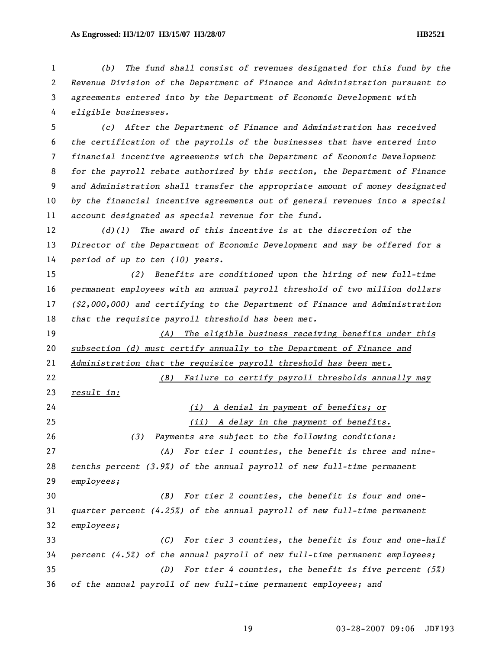*(b) The fund shall consist of revenues designated for this fund by the Revenue Division of the Department of Finance and Administration pursuant to agreements entered into by the Department of Economic Development with eligible businesses.* 

*(c) After the Department of Finance and Administration has received the certification of the payrolls of the businesses that have entered into financial incentive agreements with the Department of Economic Development for the payroll rebate authorized by this section, the Department of Finance and Administration shall transfer the appropriate amount of money designated by the financial incentive agreements out of general revenues into a special account designated as special revenue for the fund.* 

*(d)(1) The award of this incentive is at the discretion of the Director of the Department of Economic Development and may be offered for a period of up to ten (10) years.* 

*(2) Benefits are conditioned upon the hiring of new full-time permanent employees with an annual payroll threshold of two million dollars (\$2,000,000) and certifying to the Department of Finance and Administration that the requisite payroll threshold has been met.* 

*(A) The eligible business receiving benefits under this subsection (d) must certify annually to the Department of Finance and Administration that the requisite payroll threshold has been met.*

*(B) Failure to certify payroll thresholds annually may* 

*result in:*

*(i) A denial in payment of benefits; or (ii) A delay in the payment of benefits. (3) Payments are subject to the following conditions: (A) For tier 1 counties, the benefit is three and nine-tenths percent (3.9%) of the annual payroll of new full-time permanent employees; (B) For tier 2 counties, the benefit is four and one-quarter percent (4.25%) of the annual payroll of new full-time permanent employees; (C) For tier 3 counties, the benefit is four and one-half percent (4.5%) of the annual payroll of new full-time permanent employees; (D) For tier 4 counties, the benefit is five percent (5%) of the annual payroll of new full-time permanent employees; and*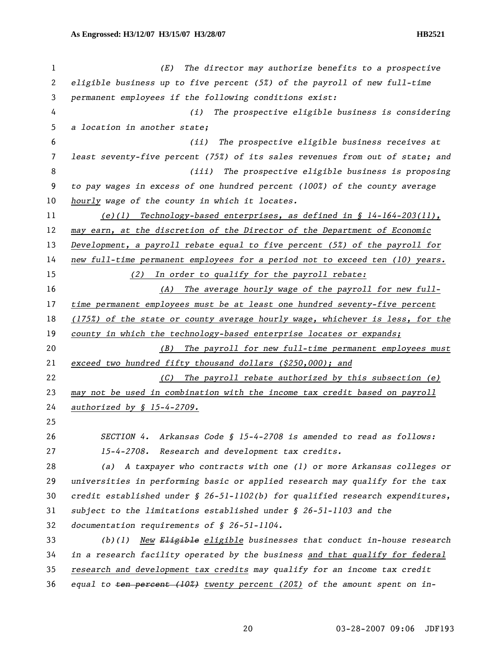| 1  | The director may authorize benefits to a prospective<br>(E)                      |
|----|----------------------------------------------------------------------------------|
| 2  | eligible business up to five percent $(52)$ of the payroll of new full-time      |
| 3  | permanent employees if the following conditions exist:                           |
| 4  | (i)<br>The prospective eligible business is considering                          |
| 5  | a location in another state;                                                     |
| 6  | The prospective eligible business receives at<br>(ii)                            |
| 7  | least seventy-five percent (75%) of its sales revenues from out of state; and    |
| 8  | The prospective eligible business is proposing<br>(iii)                          |
| 9  | to pay wages in excess of one hundred percent (100%) of the county average       |
| 10 | hourly wage of the county in which it locates.                                   |
| 11 | (e)(1) Technology-based enterprises, as defined in $\S$ 14-164-203(11),          |
| 12 | may earn, at the discretion of the Director of the Department of Economic        |
| 13 | Development, a payroll rebate equal to five percent $(5x)$ of the payroll for    |
| 14 | new full-time permanent employees for a period not to exceed ten (10) years.     |
| 15 | In order to qualify for the payroll rebate:<br>(2)                               |
| 16 | The average hourly wage of the payroll for new full-<br>(A)                      |
| 17 | time permanent employees must be at least one hundred seventy-five percent       |
| 18 | (175%) of the state or county average hourly wage, whichever is less, for the    |
| 19 | county in which the technology-based enterprise locates or expands;              |
| 20 | The payroll for new full-time permanent employees must<br>(B)                    |
| 21 | exceed two hundred fifty thousand dollars $( $250,000);$ and                     |
| 22 | The payroll rebate authorized by this subsection (e)<br>(C)                      |
| 23 | may not be used in combination with the income tax credit based on payroll       |
| 24 | <u>authorized</u> by § 15-4-2709.                                                |
| 25 |                                                                                  |
| 26 | SECTION 4. Arkansas Code § 15-4-2708 is amended to read as follows:              |
| 27 | 15-4-2708. Research and development tax credits.                                 |
| 28 | (a) A taxpayer who contracts with one (1) or more Arkansas colleges or           |
| 29 | universities in performing basic or applied research may qualify for the tax     |
| 30 | credit established under $\S$ 26-51-1102(b) for qualified research expenditures, |
| 31 | subject to the limitations established under $\S$ 26-51-1103 and the             |
| 32 | documentation requirements of $$ 26-51-1104.$                                    |
| 33 | New Eligible eligible businesses that conduct in-house research<br>(b)(1)        |
| 34 | in a research facility operated by the business and that qualify for federal     |
| 35 |                                                                                  |
|    | research and development tax credits may qualify for an income tax credit        |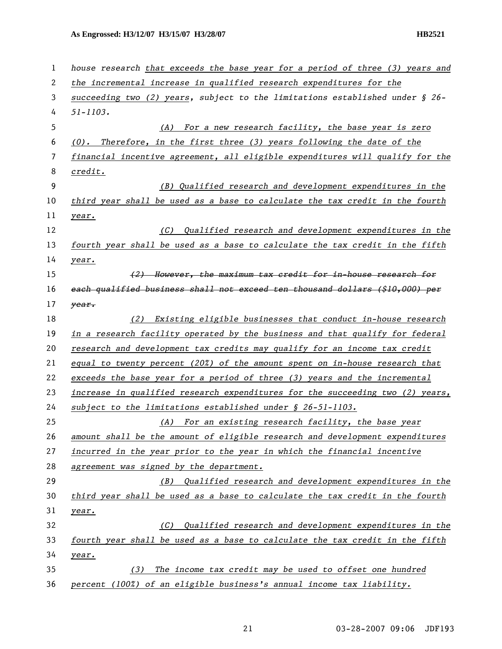| 1  | house research that exceeds the base year for a period of three (3) years and   |
|----|---------------------------------------------------------------------------------|
| 2  | the incremental increase in qualified research expenditures for the             |
| 3  | succeeding two (2) years, subject to the limitations established under $\S$ 26- |
| 4  | $51 - 1103.$                                                                    |
| 5  | (A) For a new research facility, the base year is zero                          |
| 6  | $(0)$ . Therefore, in the first three (3) years following the date of the       |
| 7  | financial incentive agreement, all eligible expenditures will qualify for the   |
| 8  | credit.                                                                         |
| 9  | (B) Qualified research and development expenditures in the                      |
| 10 | third year shall be used as a base to calculate the tax credit in the fourth    |
| 11 | year.                                                                           |
| 12 | Qualified research and development expenditures in the<br>(C)                   |
| 13 | fourth year shall be used as a base to calculate the tax credit in the fifth    |
| 14 | year.                                                                           |
| 15 | (2) However, the maximum tax credit for in-house research for                   |
| 16 | each qualified business shall not exceed ten thousand dollars (\$10,000) per    |
| 17 | year.                                                                           |
| 18 | Existing eligible businesses that conduct in-house research<br>(2)              |
| 19 | in a research facility operated by the business and that qualify for federal    |
| 20 | research and development tax credits may qualify for an income tax credit       |
| 21 | equal to twenty percent $(20%)$ of the amount spent on in-house research that   |
| 22 | exceeds the base year for a period of three (3) years and the incremental       |
| 23 | increase in qualified research expenditures for the succeeding two (2) years,   |
| 24 | subject to the limitations established under § 26-51-1103.                      |
| 25 | (A) For an existing research facility, the base year                            |
| 26 | amount shall be the amount of eligible research and development expenditures    |
| 27 | incurred in the year prior to the year in which the financial incentive         |
| 28 | agreement was signed by the department.                                         |
| 29 | Qualified research and development expenditures in the<br>(B)                   |
| 30 | third year shall be used as a base to calculate the tax credit in the fourth    |
| 31 | year.                                                                           |
| 32 | Qualified research and development expenditures in the<br>(C)                   |
| 33 | fourth year shall be used as a base to calculate the tax credit in the fifth    |
| 34 | year.                                                                           |
| 35 | The income tax credit may be used to offset one hundred<br>(3)                  |
| 36 | percent (100%) of an eligible business's annual income tax liability.           |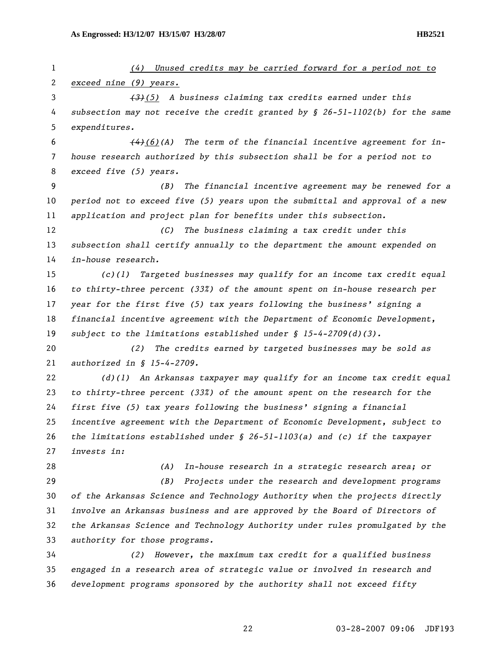*(4) Unused credits may be carried forward for a period not to exceed nine (9) years. (3)(5) A business claiming tax credits earned under this subsection may not receive the credit granted by § 26-51-1102(b) for the same expenditures. (4)(6)(A) The term of the financial incentive agreement for in-house research authorized by this subsection shall be for a period not to exceed five (5) years. (B) The financial incentive agreement may be renewed for a period not to exceed five (5) years upon the submittal and approval of a new application and project plan for benefits under this subsection. (C) The business claiming a tax credit under this subsection shall certify annually to the department the amount expended on in-house research. (c)(1) Targeted businesses may qualify for an income tax credit equal to thirty-three percent (33%) of the amount spent on in-house research per year for the first five (5) tax years following the business' signing a financial incentive agreement with the Department of Economic Development, subject to the limitations established under § 15-4-2709(d)(3). (2) The credits earned by targeted businesses may be sold as authorized in § 15-4-2709. (d)(1) An Arkansas taxpayer may qualify for an income tax credit equal to thirty-three percent (33%) of the amount spent on the research for the first five (5) tax years following the business' signing a financial incentive agreement with the Department of Economic Development, subject to the limitations established under § 26-51-1103(a) and (c) if the taxpayer invests in: (A) In-house research in a strategic research area; or (B) Projects under the research and development programs of the Arkansas Science and Technology Authority when the projects directly involve an Arkansas business and are approved by the Board of Directors of the Arkansas Science and Technology Authority under rules promulgated by the authority for those programs. (2) However, the maximum tax credit for a qualified business engaged in a research area of strategic value or involved in research and development programs sponsored by the authority shall not exceed fifty*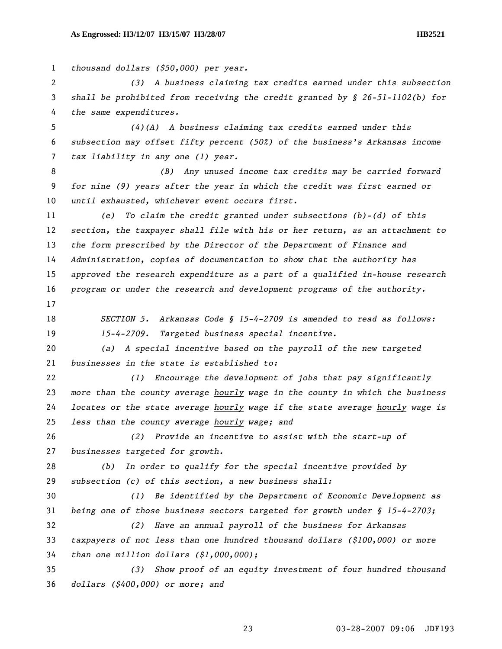*thousand dollars (\$50,000) per year. (3) A business claiming tax credits earned under this subsection shall be prohibited from receiving the credit granted by § 26-51-1102(b) for the same expenditures. (4)(A) A business claiming tax credits earned under this subsection may offset fifty percent (50%) of the business's Arkansas income tax liability in any one (1) year. (B) Any unused income tax credits may be carried forward for nine (9) years after the year in which the credit was first earned or until exhausted, whichever event occurs first. (e) To claim the credit granted under subsections (b)-(d) of this section, the taxpayer shall file with his or her return, as an attachment to the form prescribed by the Director of the Department of Finance and Administration, copies of documentation to show that the authority has approved the research expenditure as a part of a qualified in-house research program or under the research and development programs of the authority. SECTION 5. Arkansas Code § 15-4-2709 is amended to read as follows: 15-4-2709. Targeted business special incentive. (a) A special incentive based on the payroll of the new targeted businesses in the state is established to: (1) Encourage the development of jobs that pay significantly more than the county average hourly wage in the county in which the business locates or the state average hourly wage if the state average hourly wage is less than the county average hourly wage; and (2) Provide an incentive to assist with the start-up of businesses targeted for growth. (b) In order to qualify for the special incentive provided by subsection (c) of this section, a new business shall: (1) Be identified by the Department of Economic Development as being one of those business sectors targeted for growth under § 15-4-2703; (2) Have an annual payroll of the business for Arkansas taxpayers of not less than one hundred thousand dollars (\$100,000) or more than one million dollars (\$1,000,000); (3) Show proof of an equity investment of four hundred thousand dollars (\$400,000) or more; and*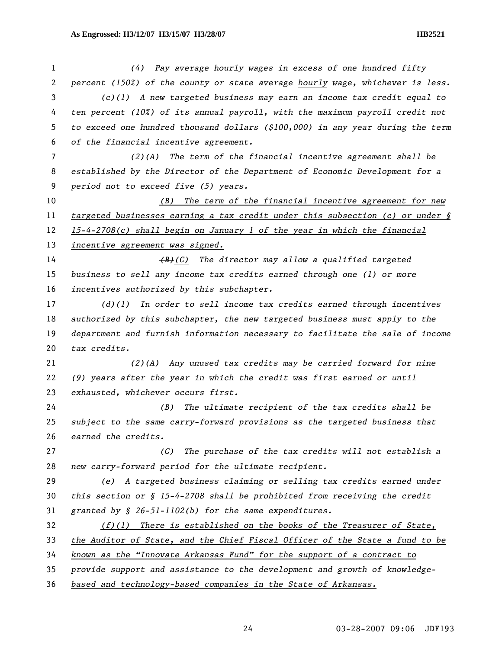*(4) Pay average hourly wages in excess of one hundred fifty percent (150%) of the county or state average hourly wage, whichever is less. (c)(1) A new targeted business may earn an income tax credit equal to ten percent (10%) of its annual payroll, with the maximum payroll credit not to exceed one hundred thousand dollars (\$100,000) in any year during the term of the financial incentive agreement. (2)(A) The term of the financial incentive agreement shall be established by the Director of the Department of Economic Development for a period not to exceed five (5) years. (B) The term of the financial incentive agreement for new targeted businesses earning a tax credit under this subsection (c) or under § 15-4-2708(c) shall begin on January 1 of the year in which the financial incentive agreement was signed. (B)(C) The director may allow a qualified targeted business to sell any income tax credits earned through one (1) or more incentives authorized by this subchapter. (d)(1) In order to sell income tax credits earned through incentives authorized by this subchapter, the new targeted business must apply to the department and furnish information necessary to facilitate the sale of income tax credits. (2)(A) Any unused tax credits may be carried forward for nine (9) years after the year in which the credit was first earned or until exhausted, whichever occurs first. (B) The ultimate recipient of the tax credits shall be subject to the same carry-forward provisions as the targeted business that earned the credits. (C) The purchase of the tax credits will not establish a new carry-forward period for the ultimate recipient. (e) A targeted business claiming or selling tax credits earned under this section or § 15-4-2708 shall be prohibited from receiving the credit granted by § 26-51-1102(b) for the same expenditures. (f)(1) There is established on the books of the Treasurer of State, the Auditor of State, and the Chief Fiscal Officer of the State a fund to be known as the "Innovate Arkansas Fund" for the support of a contract to provide support and assistance to the development and growth of knowledge-based and technology-based companies in the State of Arkansas.*